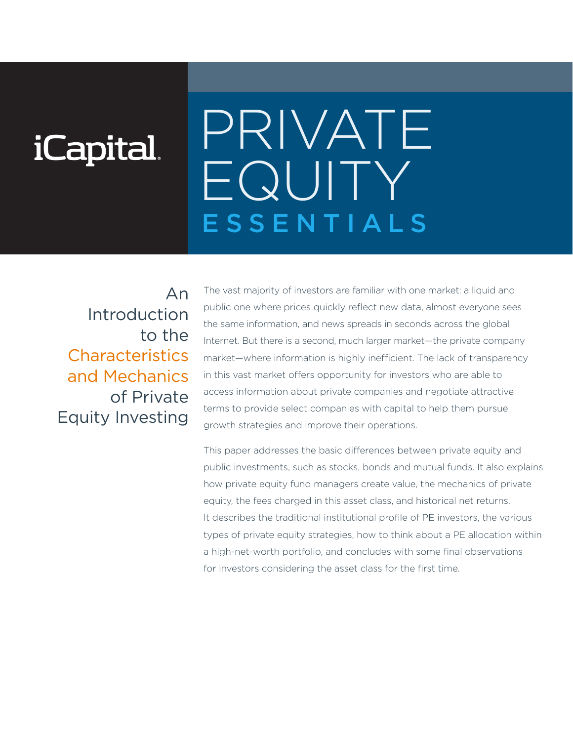# *i*Capital.

# PRIVATE EQUITY ESSENTIALS

An **Introduction** to the Characteristics and Mechanics of Private Equity Investing

The vast majority of investors are familiar with one market: a liquid and public one where prices quickly reflect new data, almost everyone sees the same information, and news spreads in seconds across the global Internet. But there is a second, much larger market—the private company market—where information is highly inefficient. The lack of transparency in this vast market offers opportunity for investors who are able to access information about private companies and negotiate attractive terms to provide select companies with capital to help them pursue growth strategies and improve their operations.

This paper addresses the basic differences between private equity and public investments, such as stocks, bonds and mutual funds. It also explains how private equity fund managers create value, the mechanics of private equity, the fees charged in this asset class, and historical net returns. It describes the traditional institutional profile of PE investors, the various types of private equity strategies, how to think about a PE allocation within a high-net-worth portfolio, and concludes with some final observations for investors considering the asset class for the first time.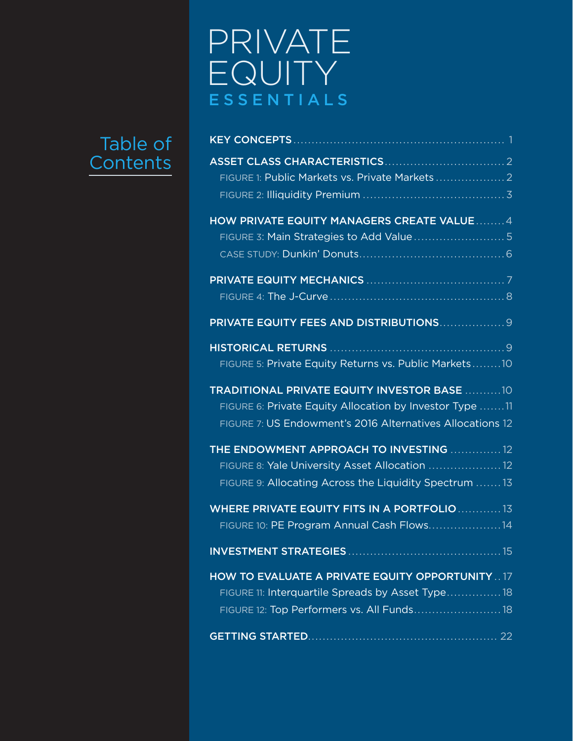### Table of **Contents**

## PRIVATE EQUITY ESSENTIALS

| FIGURE 1: Public Markets vs. Private Markets 2                                                                                                                             |
|----------------------------------------------------------------------------------------------------------------------------------------------------------------------------|
| <b>HOW PRIVATE EQUITY MANAGERS CREATE VALUE  4</b><br>FIGURE 3: Main Strategies to Add Value 5                                                                             |
|                                                                                                                                                                            |
| PRIVATE EQUITY FEES AND DISTRIBUTIONS 9                                                                                                                                    |
| FIGURE 5: Private Equity Returns vs. Public Markets10                                                                                                                      |
| <b>TRADITIONAL PRIVATE EQUITY INVESTOR BASE 10</b><br>FIGURE 6: Private Equity Allocation by Investor Type 11<br>FIGURE 7: US Endowment's 2016 Alternatives Allocations 12 |
| THE ENDOWMENT APPROACH TO INVESTING  12<br>FIGURE 8: Yale University Asset Allocation  12<br>FIGURE 9: Allocating Across the Liquidity Spectrum 13                         |
| <b>WHERE PRIVATE EQUITY FITS IN A PORTFOLIO  13</b><br>FIGURE 10: PE Program Annual Cash Flows14                                                                           |
| $\dots$ 15<br><b>INVESTMENT STRATEGIES</b>                                                                                                                                 |
| HOW TO EVALUATE A PRIVATE EQUITY OPPORTUNITY  17<br>FIGURE 11: Interquartile Spreads by Asset Type 18<br>FIGURE 12: Top Performers vs. All Funds 18                        |
|                                                                                                                                                                            |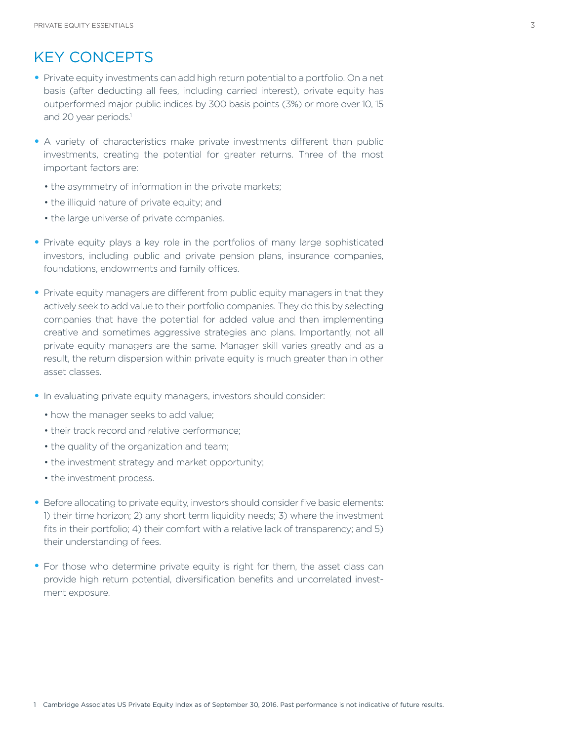#### KEY CONCEPTS

- Private equity investments can add high return potential to a portfolio. On a net basis (after deducting all fees, including carried interest), private equity has outperformed major public indices by 300 basis points (3%) or more over 10, 15 and 20 year periods.<sup>1</sup>
- A variety of characteristics make private investments different than public investments, creating the potential for greater returns. Three of the most important factors are:
	- the asymmetry of information in the private markets;
	- the illiquid nature of private equity; and
	- the large universe of private companies.
- Private equity plays a key role in the portfolios of many large sophisticated investors, including public and private pension plans, insurance companies, foundations, endowments and family offices.
- Private equity managers are different from public equity managers in that they actively seek to add value to their portfolio companies. They do this by selecting companies that have the potential for added value and then implementing creative and sometimes aggressive strategies and plans. Importantly, not all private equity managers are the same. Manager skill varies greatly and as a result, the return dispersion within private equity is much greater than in other asset classes.
- In evaluating private equity managers, investors should consider:
	- how the manager seeks to add value;
	- their track record and relative performance;
	- the quality of the organization and team;
	- the investment strategy and market opportunity;
	- the investment process.
- Before allocating to private equity, investors should consider five basic elements: 1) their time horizon; 2) any short term liquidity needs; 3) where the investment fits in their portfolio; 4) their comfort with a relative lack of transparency; and 5) their understanding of fees.
- For those who determine private equity is right for them, the asset class can provide high return potential, diversification benefits and uncorrelated investment exposure.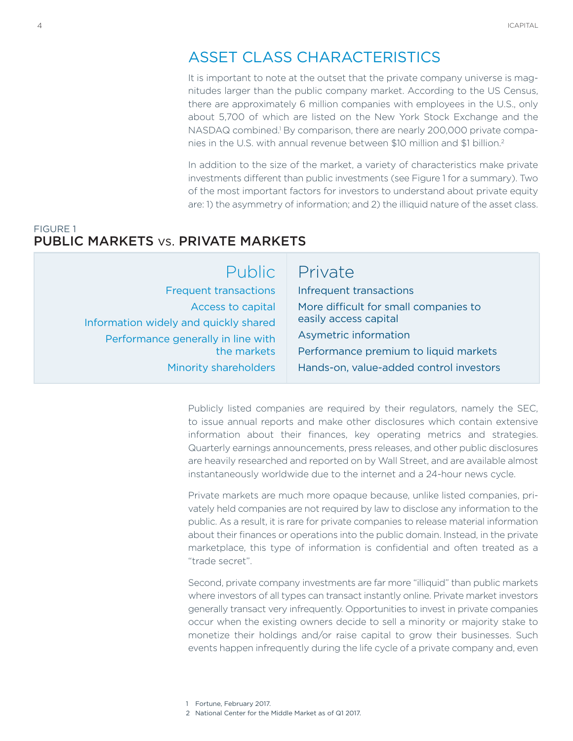#### ASSET CLASS CHARACTERISTICS

It is important to note at the outset that the private company universe is magnitudes larger than the public company market. According to the US Census, there are approximately 6 million companies with employees in the U.S., only about 5,700 of which are listed on the New York Stock Exchange and the NASDAQ combined.<sup>1</sup> By comparison, there are nearly 200,000 private companies in the U.S. with annual revenue between \$10 million and \$1 billion.2

In addition to the size of the market, a variety of characteristics make private investments different than public investments (see Figure 1 for a summary). Two of the most important factors for investors to understand about private equity are: 1) the asymmetry of information; and 2) the illiquid nature of the asset class.

#### FIGURE 1 PUBLIC MARKETS vs. PRIVATE MARKETS

| Public -                              | Private                                 |
|---------------------------------------|-----------------------------------------|
| <b>Frequent transactions</b>          | Infrequent transactions                 |
| Access to capital                     | More difficult for small companies to   |
| Information widely and quickly shared | easily access capital                   |
| Performance generally in line with    | Asymetric information                   |
| the markets                           | Performance premium to liquid markets   |
| Minority shareholders                 | Hands-on, value-added control investors |
|                                       |                                         |

Publicly listed companies are required by their regulators, namely the SEC, to issue annual reports and make other disclosures which contain extensive information about their finances, key operating metrics and strategies. Quarterly earnings announcements, press releases, and other public disclosures are heavily researched and reported on by Wall Street, and are available almost instantaneously worldwide due to the internet and a 24-hour news cycle.

Private markets are much more opaque because, unlike listed companies, privately held companies are not required by law to disclose any information to the public. As a result, it is rare for private companies to release material information about their finances or operations into the public domain. Instead, in the private marketplace, this type of information is confidential and often treated as a "trade secret".

Second, private company investments are far more "illiquid" than public markets where investors of all types can transact instantly online. Private market investors generally transact very infrequently. Opportunities to invest in private companies occur when the existing owners decide to sell a minority or majority stake to monetize their holdings and/or raise capital to grow their businesses. Such events happen infrequently during the life cycle of a private company and, even

1 Fortune, February 2017.

2 National Center for the Middle Market as of Q1 2017.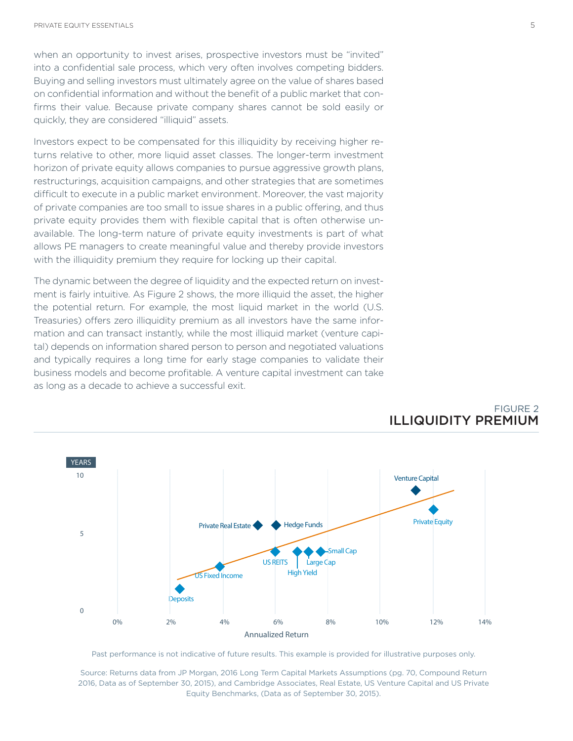when an opportunity to invest arises, prospective investors must be "invited" into a confidential sale process, which very often involves competing bidders. Buying and selling investors must ultimately agree on the value of shares based on confidential information and without the benefit of a public market that confirms their value. Because private company shares cannot be sold easily or quickly, they are considered "illiquid" assets.

Investors expect to be compensated for this illiquidity by receiving higher returns relative to other, more liquid asset classes. The longer-term investment horizon of private equity allows companies to pursue aggressive growth plans, restructurings, acquisition campaigns, and other strategies that are sometimes difficult to execute in a public market environment. Moreover, the vast majority of private companies are too small to issue shares in a public offering, and thus private equity provides them with flexible capital that is often otherwise unavailable. The long-term nature of private equity investments is part of what allows PE managers to create meaningful value and thereby provide investors with the illiquidity premium they require for locking up their capital.

The dynamic between the degree of liquidity and the expected return on investment is fairly intuitive. As Figure 2 shows, the more illiquid the asset, the higher the potential return. For example, the most liquid market in the world (U.S. Treasuries) offers zero illiquidity premium as all investors have the same information and can transact instantly, while the most illiquid market (venture capital) depends on information shared person to person and negotiated valuations and typically requires a long time for early stage companies to validate their business models and become profitable. A venture capital investment can take as long as a decade to achieve a successful exit.



#### FIGURE 2 ILLIQUIDITY PREMIUM

Past performance is not indicative of future results. This example is provided for illustrative purposes only.

Source: Returns data from JP Morgan, 2016 Long Term Capital Markets Assumptions (pg. 70, Compound Return 2016, Data as of September 30, 2015), and Cambridge Associates, Real Estate, US Venture Capital and US Private Equity Benchmarks, (Data as of September 30, 2015).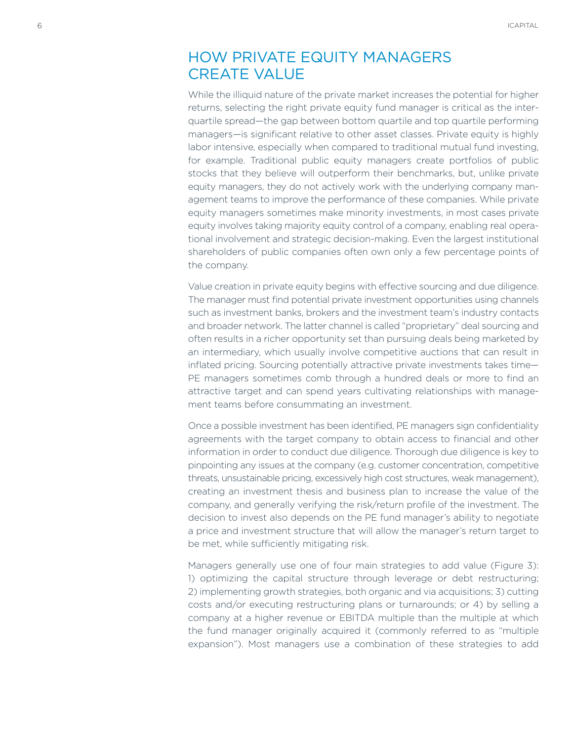#### HOW PRIVATE EQUITY MANAGERS CREATE VALUE

While the illiquid nature of the private market increases the potential for higher returns, selecting the right private equity fund manager is critical as the interquartile spread—the gap between bottom quartile and top quartile performing managers—is significant relative to other asset classes. Private equity is highly labor intensive, especially when compared to traditional mutual fund investing, for example. Traditional public equity managers create portfolios of public stocks that they believe will outperform their benchmarks, but, unlike private equity managers, they do not actively work with the underlying company management teams to improve the performance of these companies. While private equity managers sometimes make minority investments, in most cases private equity involves taking majority equity control of a company, enabling real operational involvement and strategic decision-making. Even the largest institutional shareholders of public companies often own only a few percentage points of the company.

Value creation in private equity begins with effective sourcing and due diligence. The manager must find potential private investment opportunities using channels such as investment banks, brokers and the investment team's industry contacts and broader network. The latter channel is called "proprietary" deal sourcing and often results in a richer opportunity set than pursuing deals being marketed by an intermediary, which usually involve competitive auctions that can result in inflated pricing. Sourcing potentially attractive private investments takes time— PE managers sometimes comb through a hundred deals or more to find an attractive target and can spend years cultivating relationships with management teams before consummating an investment.

Once a possible investment has been identified, PE managers sign confidentiality agreements with the target company to obtain access to financial and other information in order to conduct due diligence. Thorough due diligence is key to pinpointing any issues at the company (e.g. customer concentration, competitive threats, unsustainable pricing, excessively high cost structures, weak management), creating an investment thesis and business plan to increase the value of the company, and generally verifying the risk/return profile of the investment. The decision to invest also depends on the PE fund manager's ability to negotiate a price and investment structure that will allow the manager's return target to be met, while sufficiently mitigating risk.

Managers generally use one of four main strategies to add value (Figure 3): 1) optimizing the capital structure through leverage or debt restructuring; 2) implementing growth strategies, both organic and via acquisitions; 3) cutting costs and/or executing restructuring plans or turnarounds; or 4) by selling a company at a higher revenue or EBITDA multiple than the multiple at which the fund manager originally acquired it (commonly referred to as "multiple expansion"). Most managers use a combination of these strategies to add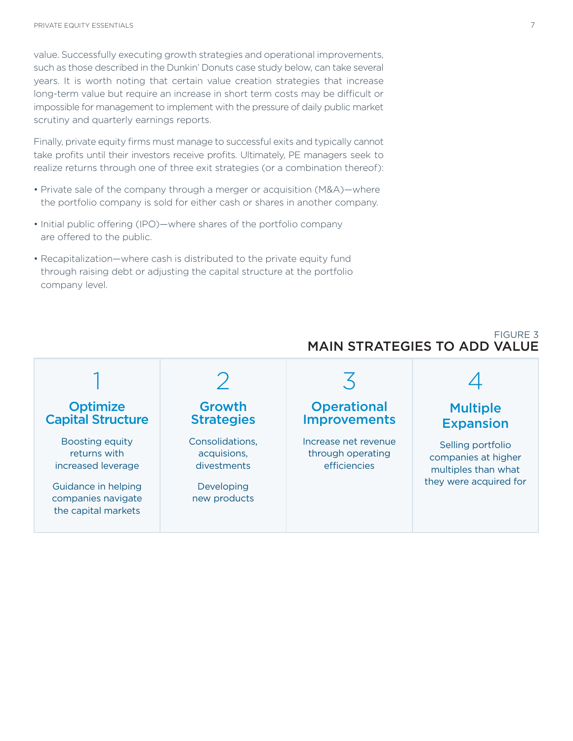value. Successfully executing growth strategies and operational improvements, such as those described in the Dunkin' Donuts case study below, can take several years. It is worth noting that certain value creation strategies that increase long-term value but require an increase in short term costs may be difficult or impossible for management to implement with the pressure of daily public market scrutiny and quarterly earnings reports.

Finally, private equity firms must manage to successful exits and typically cannot take profits until their investors receive profits. Ultimately, PE managers seek to realize returns through one of three exit strategies (or a combination thereof):

- Private sale of the company through a merger or acquisition (M&A)—where the portfolio company is sold for either cash or shares in another company.
- Initial public offering (IPO)—where shares of the portfolio company are offered to the public.
- Recapitalization—where cash is distributed to the private equity fund through raising debt or adjusting the capital structure at the portfolio company level.

#### FIGURE 3 MAIN STRATEGIES TO ADD VALUE

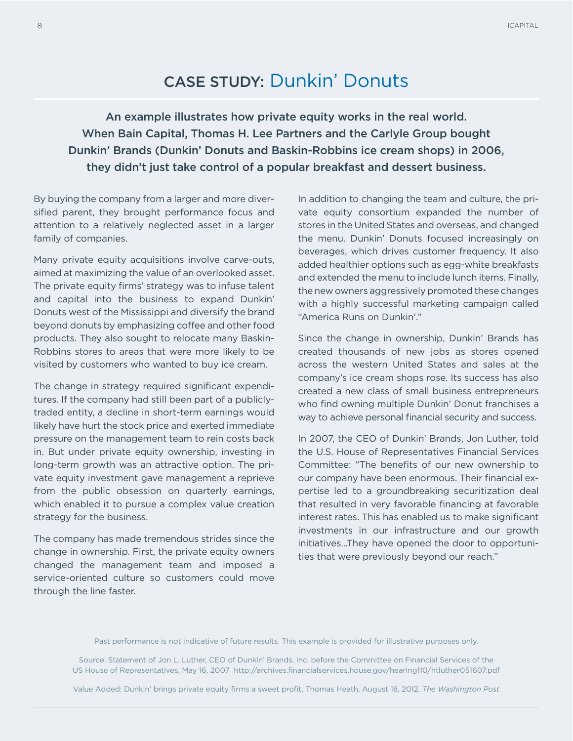#### CASE STUDY: Dunkin' Donuts

An example illustrates how private equity works in the real world. When Bain Capital, Thomas H. Lee Partners and the Carlyle Group bought Dunkin' Brands (Dunkin' Donuts and Baskin-Robbins ice cream shops) in 2006, they didn't just take control of a popular breakfast and dessert business.

By buying the company from a larger and more diversified parent, they brought performance focus and attention to a relatively neglected asset in a larger family of companies.

Many private equity acquisitions involve carve-outs, aimed at maximizing the value of an overlooked asset. The private equity firms' strategy was to infuse talent and capital into the business to expand Dunkin' Donuts west of the Mississippi and diversify the brand beyond donuts by emphasizing coffee and other food products. They also sought to relocate many Baskin-Robbins stores to areas that were more likely to be visited by customers who wanted to buy ice cream.

The change in strategy required significant expenditures. If the company had still been part of a publiclytraded entity, a decline in short-term earnings would likely have hurt the stock price and exerted immediate pressure on the management team to rein costs back in. But under private equity ownership, investing in long-term growth was an attractive option. The private equity investment gave management a reprieve from the public obsession on quarterly earnings, which enabled it to pursue a complex value creation strategy for the business.

The company has made tremendous strides since the change in ownership. First, the private equity owners changed the management team and imposed a service-oriented culture so customers could move through the line faster.

In addition to changing the team and culture, the private equity consortium expanded the number of stores in the United States and overseas, and changed the menu. Dunkin' Donuts focused increasingly on beverages, which drives customer frequency. It also added healthier options such as egg-white breakfasts and extended the menu to include lunch items. Finally, the new owners aggressively promoted these changes with a highly successful marketing campaign called "America Runs on Dunkin'."

Since the change in ownership, Dunkin' Brands has created thousands of new jobs as stores opened across the western United States and sales at the company's ice cream shops rose. Its success has also created a new class of small business entrepreneurs who find owning multiple Dunkin' Donut franchises a way to achieve personal financial security and success.

In 2007, the CEO of Dunkin' Brands, Jon Luther, told the U.S. House of Representatives Financial Services Committee: "The benefits of our new ownership to our company have been enormous. Their financial expertise led to a groundbreaking securitization deal that resulted in very favorable financing at favorable interest rates. This has enabled us to make significant investments in our infrastructure and our growth initiatives…They have opened the door to opportunities that were previously beyond our reach."

Past performance is not indicative of future results. This example is provided for illustrative purposes only.

Source: Statement of Jon L. Luther, CEO of Dunkin' Brands, Inc. before the Committee on Financial Services of the US House of Representatives, May 16, 2007 http://archives.financialservices.house.gov/hearing110/htluther051607.pdf

Value Added: Dunkin' brings private equity firms a sweet profit, Thomas Heath, August 18, 2012, *The Washington Post*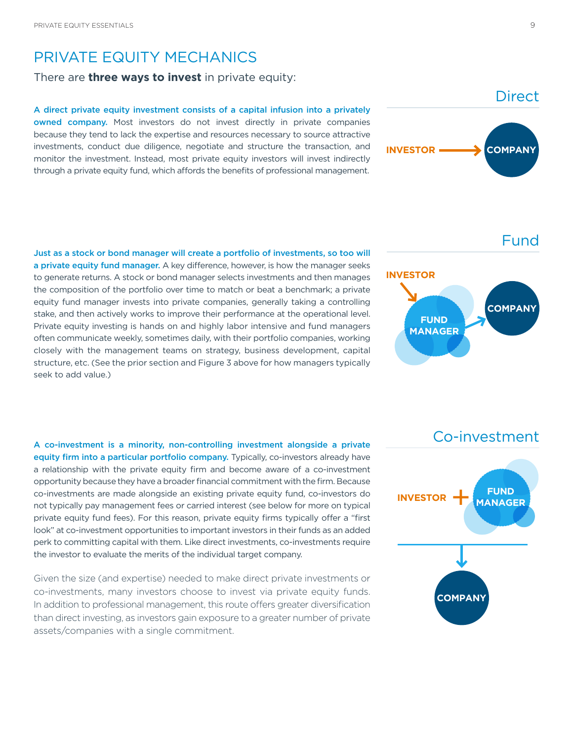#### PRIVATE EQUITY MECHANICS

There are **three ways to invest** in private equity:

A direct private equity investment consists of a capital infusion into a privately owned company. Most investors do not invest directly in private companies because they tend to lack the expertise and resources necessary to source attractive investments, conduct due diligence, negotiate and structure the transaction, and monitor the investment. Instead, most private equity investors will invest indirectly through a private equity fund, which affords the benefits of professional management.



A co-investment is a minority, non-controlling investment alongside a private equity firm into a particular portfolio company. Typically, co-investors already have a relationship with the private equity firm and become aware of a co-investment opportunity because they have a broader financial commitment with the firm. Because co-investments are made alongside an existing private equity fund, co-investors do not typically pay management fees or carried interest (see below for more on typical private equity fund fees). For this reason, private equity firms typically offer a "first look" at co-investment opportunities to important investors in their funds as an added perk to committing capital with them. Like direct investments, co-investments require the investor to evaluate the merits of the individual target company.

Given the size (and expertise) needed to make direct private investments or co-investments, many investors choose to invest via private equity funds. In addition to professional management, this route offers greater diversification than direct investing, as investors gain exposure to a greater number of private assets/companies with a single commitment.





**FUND MANAGER**

### Fund

**COMPANY**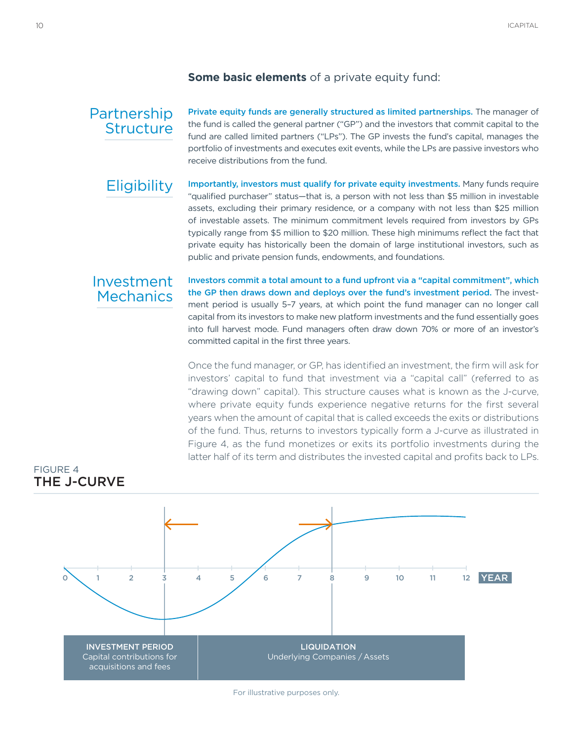#### **Some basic elements** of a private equity fund:

#### Partnership **Structure**

Private equity funds are generally structured as limited partnerships. The manager of the fund is called the general partner ("GP") and the investors that commit capital to the fund are called limited partners ("LPs"). The GP invests the fund's capital, manages the portfolio of investments and executes exit events, while the LPs are passive investors who receive distributions from the fund.

Importantly, investors must qualify for private equity investments. Many funds require "qualified purchaser" status—that is, a person with not less than \$5 million in investable assets, excluding their primary residence, or a company with not less than \$25 million of investable assets. The minimum commitment levels required from investors by GPs typically range from \$5 million to \$20 million. These high minimums reflect the fact that private equity has historically been the domain of large institutional investors, such as public and private pension funds, endowments, and foundations. **Eligibility** 

#### Investment **Mechanics**

Investors commit a total amount to a fund upfront via a "capital commitment", which the GP then draws down and deploys over the fund's investment period. The investment period is usually 5–7 years, at which point the fund manager can no longer call capital from its investors to make new platform investments and the fund essentially goes into full harvest mode. Fund managers often draw down 70% or more of an investor's committed capital in the first three years.

Once the fund manager, or GP, has identified an investment, the firm will ask for investors' capital to fund that investment via a "capital call" (referred to as "drawing down" capital). This structure causes what is known as the J-curve, where private equity funds experience negative returns for the first several years when the amount of capital that is called exceeds the exits or distributions of the fund. Thus, returns to investors typically form a J-curve as illustrated in Figure 4, as the fund monetizes or exits its portfolio investments during the latter half of its term and distributes the invested capital and profits back to LPs.



For illustrative purposes only.

FIGURE 4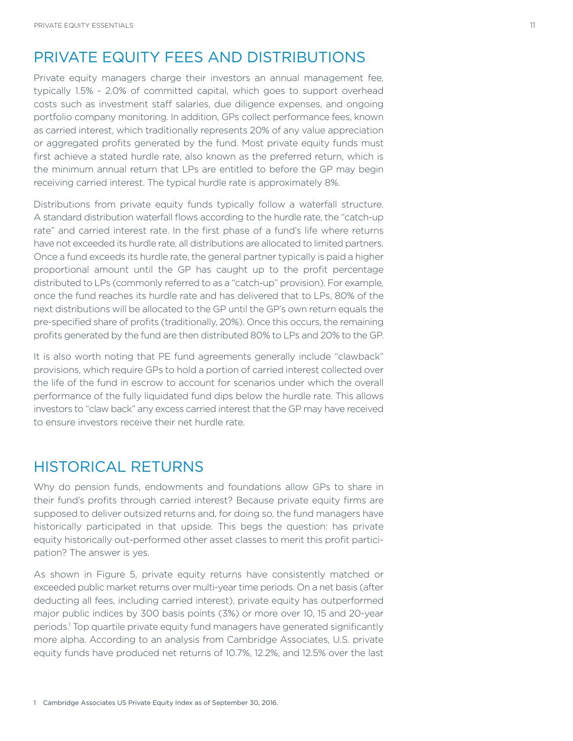#### PRIVATE EQUITY FEES AND DISTRIBUTIONS

Private equity managers charge their investors an annual management fee, typically 1.5% - 2.0% of committed capital, which goes to support overhead costs such as investment staff salaries, due diligence expenses, and ongoing portfolio company monitoring. In addition, GPs collect performance fees, known as carried interest, which traditionally represents 20% of any value appreciation or aggregated profits generated by the fund. Most private equity funds must first achieve a stated hurdle rate, also known as the preferred return, which is the minimum annual return that LPs are entitled to before the GP may begin receiving carried interest. The typical hurdle rate is approximately 8%.

Distributions from private equity funds typically follow a waterfall structure. A standard distribution waterfall flows according to the hurdle rate, the "catch-up rate" and carried interest rate. In the first phase of a fund's life where returns have not exceeded its hurdle rate, all distributions are allocated to limited partners. Once a fund exceeds its hurdle rate, the general partner typically is paid a higher proportional amount until the GP has caught up to the profit percentage distributed to LPs (commonly referred to as a "catch-up" provision). For example, once the fund reaches its hurdle rate and has delivered that to LPs, 80% of the next distributions will be allocated to the GP until the GP's own return equals the pre-specified share of profits (traditionally, 20%). Once this occurs, the remaining profits generated by the fund are then distributed 80% to LPs and 20% to the GP.

It is also worth noting that PE fund agreements generally include "clawback" provisions, which require GPs to hold a portion of carried interest collected over the life of the fund in escrow to account for scenarios under which the overall performance of the fully liquidated fund dips below the hurdle rate. This allows investors to "claw back" any excess carried interest that the GP may have received to ensure investors receive their net hurdle rate.

#### HISTORICAL RETURNS

Why do pension funds, endowments and foundations allow GPs to share in their fund's profits through carried interest? Because private equity firms are supposed to deliver outsized returns and, for doing so, the fund managers have historically participated in that upside. This begs the question: has private equity historically out-performed other asset classes to merit this profit participation? The answer is yes.

As shown in Figure 5, private equity returns have consistently matched or exceeded public market returns over multi-year time periods. On a net basis (after deducting all fees, including carried interest), private equity has outperformed major public indices by 300 basis points (3%) or more over 10, 15 and 20-year periods.1 Top quartile private equity fund managers have generated significantly more alpha. According to an analysis from Cambridge Associates, U.S. private equity funds have produced net returns of 10.7%, 12.2%, and 12.5% over the last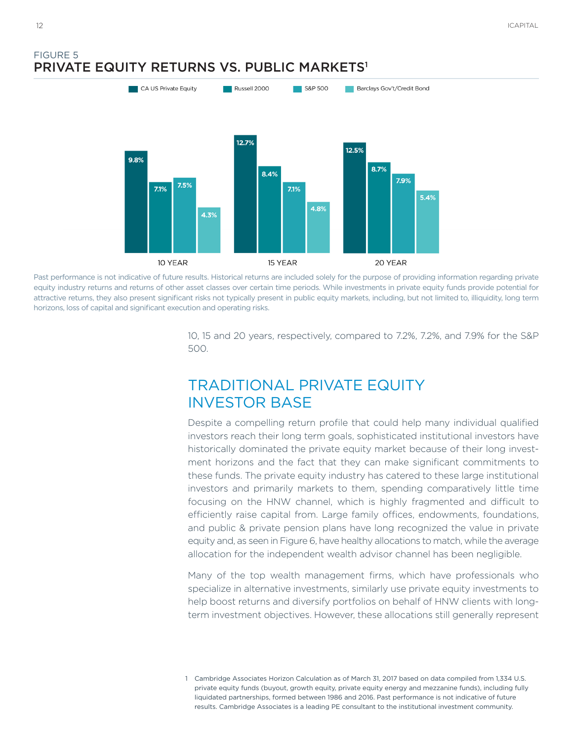#### FIGURE 5 PRIVATE EQUITY RETURNS VS. PUBLIC MARKETS<sup>1</sup>



Past performance is not indicative of future results. Historical returns are included solely for the purpose of providing information regarding private equity industry returns and returns of other asset classes over certain time periods. While investments in private equity funds provide potential for attractive returns, they also present significant risks not typically present in public equity markets, including, but not limited to, illiquidity, long term horizons, loss of capital and significant execution and operating risks.

> 10, 15 and 20 years, respectively, compared to 7.2%, 7.2%, and 7.9% for the S&P 500.

#### TRADITIONAL PRIVATE EQUITY INVESTOR BASE

Despite a compelling return profile that could help many individual qualified investors reach their long term goals, sophisticated institutional investors have historically dominated the private equity market because of their long investment horizons and the fact that they can make significant commitments to these funds. The private equity industry has catered to these large institutional investors and primarily markets to them, spending comparatively little time focusing on the HNW channel, which is highly fragmented and difficult to efficiently raise capital from. Large family offices, endowments, foundations, and public & private pension plans have long recognized the value in private equity and, as seen in Figure 6, have healthy allocations to match, while the average allocation for the independent wealth advisor channel has been negligible.

Many of the top wealth management firms, which have professionals who specialize in alternative investments, similarly use private equity investments to help boost returns and diversify portfolios on behalf of HNW clients with longterm investment objectives. However, these allocations still generally represent

<sup>1</sup> Cambridge Associates Horizon Calculation as of March 31, 2017 based on data compiled from 1,334 U.S. private equity funds (buyout, growth equity, private equity energy and mezzanine funds), including fully liquidated partnerships, formed between 1986 and 2016. Past performance is not indicative of future results. Cambridge Associates is a leading PE consultant to the institutional investment community.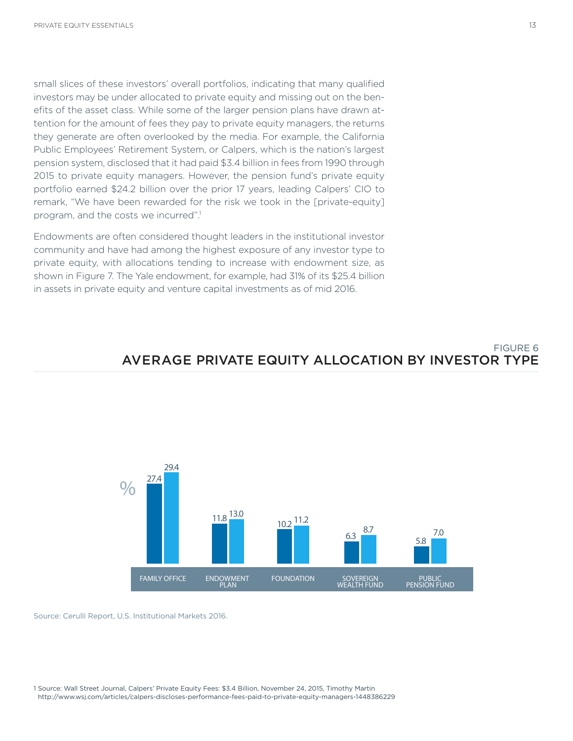small slices of these investors' overall portfolios, indicating that many qualified investors may be under allocated to private equity and missing out on the benefits of the asset class. While some of the larger pension plans have drawn attention for the amount of fees they pay to private equity managers, the returns they generate are often overlooked by the media. For example, the California Public Employees' Retirement System, or Calpers, which is the nation's largest pension system, disclosed that it had paid \$3.4 billion in fees from 1990 through 2015 to private equity managers. However, the pension fund's private equity portfolio earned \$24.2 billion over the prior 17 years, leading Calpers' CIO to remark, "We have been rewarded for the risk we took in the [private-equity] program, and the costs we incurred".<sup>1</sup>

Endowments are often considered thought leaders in the institutional investor community and have had among the highest exposure of any investor type to private equity, with allocations tending to increase with endowment size, as shown in Figure 7. The Yale endowment, for example, had 31% of its \$25.4 billion in assets in private equity and venture capital investments as of mid 2016.

#### FIGURE 6 AVERAGE PRIVATE EQUITY ALLOCATION BY INVESTOR TYPE



Source: Cerulli Report, U.S. Institutional Markets 2016.

1 Source: Wall Street Journal, Calpers' Private Equity Fees: \$3.4 Billion, November 24, 2015, Timothy Martin http://www.wsj.com/articles/calpers-discloses-performance-fees-paid-to-private-equity-managers-1448386229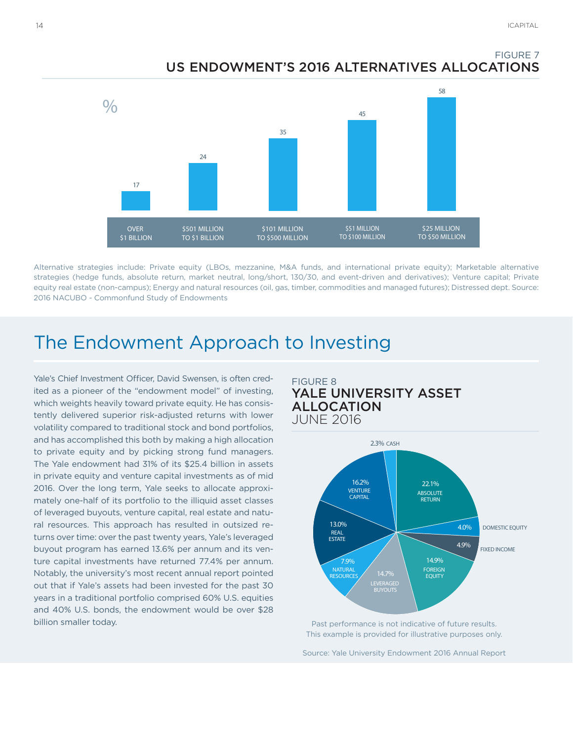FIGURE 7



Alternative strategies include: Private equity (LBOs, mezzanine, M&A funds, and international private equity); Marketable alternative strategies (hedge funds, absolute return, market neutral, long/short, 130/30, and event-driven and derivatives); Venture capital; Private equity real estate (non-campus); Energy and natural resources (oil, gas, timber, commodities and managed futures); Distressed dept. Source: 2016 NACUBO - Commonfund Study of Endowments

### The Endowment Approach to Investing

Yale's Chief Investment Officer, David Swensen, is often credited as a pioneer of the "endowment model" of investing, which weights heavily toward private equity. He has consistently delivered superior risk-adjusted returns with lower volatility compared to traditional stock and bond portfolios, and has accomplished this both by making a high allocation to private equity and by picking strong fund managers. The Yale endowment had 31% of its \$25.4 billion in assets in private equity and venture capital investments as of mid 2016. Over the long term, Yale seeks to allocate approximately one-half of its portfolio to the illiquid asset classes of leveraged buyouts, venture capital, real estate and natural resources. This approach has resulted in outsized returns over time: over the past twenty years, Yale's leveraged buyout program has earned 13.6% per annum and its venture capital investments have returned 77.4% per annum. Notably, the university's most recent annual report pointed out that if Yale's assets had been invested for the past 30 years in a traditional portfolio comprised 60% U.S. equities and 40% U.S. bonds, the endowment would be over \$28 billion smaller today.

FIGURE 8 YALE UNIVERSITY ASSET ALLOCATION JUNE 2016



Past performance is not indicative of future results. This example is provided for illustrative purposes only.

Source: Yale University Endowment 2016 Annual Report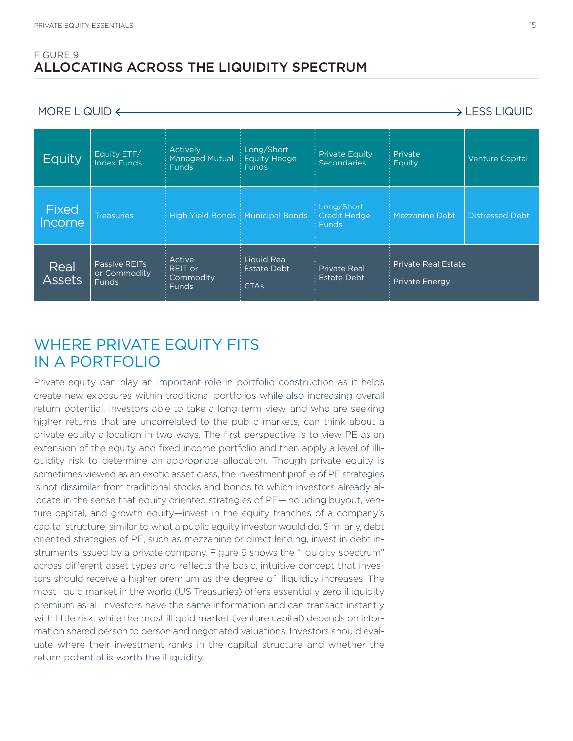#### FIGURE 9 ALLOCATING ACROSS THE LIQUIDITY SPECTRUM

MORE LIQUID LESS LIQUID

| <b>Equity</b>                 | Equity ETF/<br><b>Index Funds</b>             | Actively<br><b>Managed Mutual</b><br><b>Funds</b>       | : Long/Short<br>: Equity Hedge<br>: Funds | : Private Equity<br><b>Secondaries</b>    | : Private<br>$\frac{1}{2}$ Equity         | <b>Venture Capital</b> |
|-------------------------------|-----------------------------------------------|---------------------------------------------------------|-------------------------------------------|-------------------------------------------|-------------------------------------------|------------------------|
| <b>Fixed</b><br><i>Income</i> | <b>Treasuries</b>                             | : High Yield Bonds: Municipal Bonds                     |                                           | : Long/Short<br>: Credit Hedge<br>: Funds | : Mezzanine Debt                          | <b>Distressed Debt</b> |
| Real<br><b>Assets</b>         | Passive REITs<br>or Commodity<br><b>Funds</b> | Active<br>: REIT or<br>Commodity<br>$\frac{1}{2}$ Funds | : Liquid Real<br>Estate Debt<br>: CTAs    | : Private Real<br>Estate Debt             | : Private Real Estate<br>: Private Energy |                        |

#### WHERE PRIVATE EQUITY FITS IN A PORTFOLIO

Private equity can play an important role in portfolio construction as it helps create new exposures within traditional portfolios while also increasing overall return potential. Investors able to take a long-term view, and who are seeking higher returns that are uncorrelated to the public markets, can think about a private equity allocation in two ways. The first perspective is to view PE as an extension of the equity and fixed income portfolio and then apply a level of illiquidity risk to determine an appropriate allocation. Though private equity is sometimes viewed as an exotic asset class, the investment profile of PE strategies is not dissimilar from traditional stocks and bonds to which investors already allocate in the sense that equity oriented strategies of PE—including buyout, venture capital, and growth equity—invest in the equity tranches of a company's capital structure, similar to what a public equity investor would do. Similarly, debt oriented strategies of PE, such as mezzanine or direct lending, invest in debt instruments issued by a private company. Figure 9 shows the "liquidity spectrum" across different asset types and reflects the basic, intuitive concept that investors should receive a higher premium as the degree of illiquidity increases. The most liquid market in the world (US Treasuries) offers essentially zero illiquidity premium as all investors have the same information and can transact instantly with little risk, while the most illiquid market (venture capital) depends on information shared person to person and negotiated valuations. Investors should evaluate where their investment ranks in the capital structure and whether the return potential is worth the illiquidity.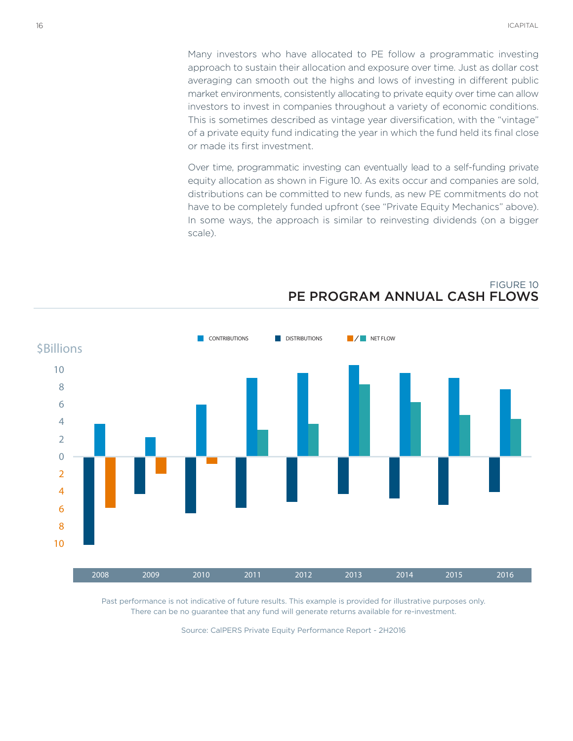Many investors who have allocated to PE follow a programmatic investing approach to sustain their allocation and exposure over time. Just as dollar cost averaging can smooth out the highs and lows of investing in different public market environments, consistently allocating to private equity over time can allow investors to invest in companies throughout a variety of economic conditions. This is sometimes described as vintage year diversification, with the "vintage" of a private equity fund indicating the year in which the fund held its final close or made its first investment.

Over time, programmatic investing can eventually lead to a self-funding private equity allocation as shown in Figure 10. As exits occur and companies are sold, distributions can be committed to new funds, as new PE commitments do not have to be completely funded upfront (see "Private Equity Mechanics" above). In some ways, the approach is similar to reinvesting dividends (on a bigger scale).



#### FIGURE 10 PE PROGRAM ANNUAL CASH FLOWS

Past performance is not indicative of future results. This example is provided for illustrative purposes only. There can be no guarantee that any fund will generate returns available for re-investment.

Source: CalPERS Private Equity Performance Report - 2H2016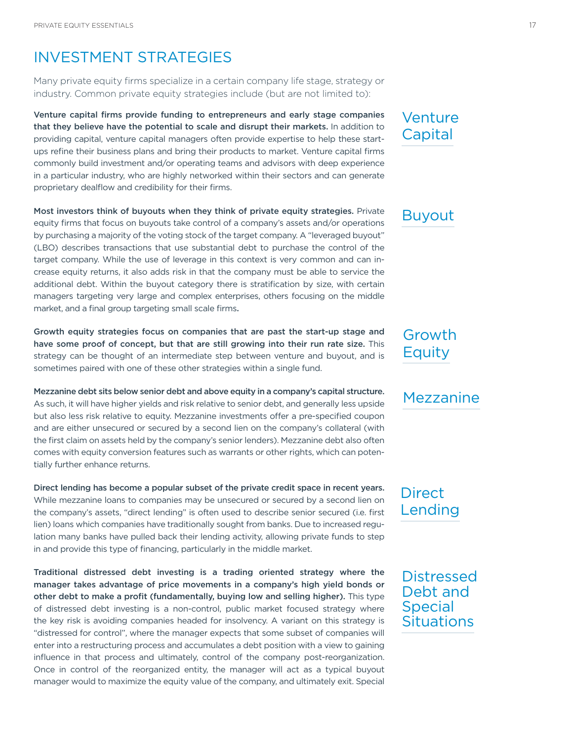#### INVESTMENT STRATEGIES

Many private equity firms specialize in a certain company life stage, strategy or industry. Common private equity strategies include (but are not limited to):

Venture capital firms provide funding to entrepreneurs and early stage companies that they believe have the potential to scale and disrupt their markets. In addition to providing capital, venture capital managers often provide expertise to help these startups refine their business plans and bring their products to market. Venture capital firms commonly build investment and/or operating teams and advisors with deep experience in a particular industry, who are highly networked within their sectors and can generate proprietary dealflow and credibility for their firms.

Most investors think of buyouts when they think of private equity strategies. Private equity firms that focus on buyouts take control of a company's assets and/or operations by purchasing a majority of the voting stock of the target company. A "leveraged buyout" (LBO) describes transactions that use substantial debt to purchase the control of the target company. While the use of leverage in this context is very common and can increase equity returns, it also adds risk in that the company must be able to service the additional debt. Within the buyout category there is stratification by size, with certain managers targeting very large and complex enterprises, others focusing on the middle market, and a final group targeting small scale firms.

Growth equity strategies focus on companies that are past the start-up stage and have some proof of concept, but that are still growing into their run rate size. This strategy can be thought of an intermediate step between venture and buyout, and is sometimes paired with one of these other strategies within a single fund.

Mezzanine debt sits below senior debt and above equity in a company's capital structure. As such, it will have higher yields and risk relative to senior debt, and generally less upside but also less risk relative to equity. Mezzanine investments offer a pre-specified coupon and are either unsecured or secured by a second lien on the company's collateral (with the first claim on assets held by the company's senior lenders). Mezzanine debt also often comes with equity conversion features such as warrants or other rights, which can potentially further enhance returns.

Direct lending has become a popular subset of the private credit space in recent years. While mezzanine loans to companies may be unsecured or secured by a second lien on the company's assets, "direct lending" is often used to describe senior secured (i.e. first lien) loans which companies have traditionally sought from banks. Due to increased regulation many banks have pulled back their lending activity, allowing private funds to step in and provide this type of financing, particularly in the middle market.

Traditional distressed debt investing is a trading oriented strategy where the manager takes advantage of price movements in a company's high yield bonds or other debt to make a profit (fundamentally, buying low and selling higher). This type of distressed debt investing is a non-control, public market focused strategy where the key risk is avoiding companies headed for insolvency. A variant on this strategy is "distressed for control", where the manager expects that some subset of companies will enter into a restructuring process and accumulates a debt position with a view to gaining influence in that process and ultimately, control of the company post-reorganization. Once in control of the reorganized entity, the manager will act as a typical buyout manager would to maximize the equity value of the company, and ultimately exit. Special

#### Venture **Capital**

#### Buyout

Growth **Equity** 

#### Mezzanine

#### **Direct** Lending

#### **Distressed** Debt and **Special Situations**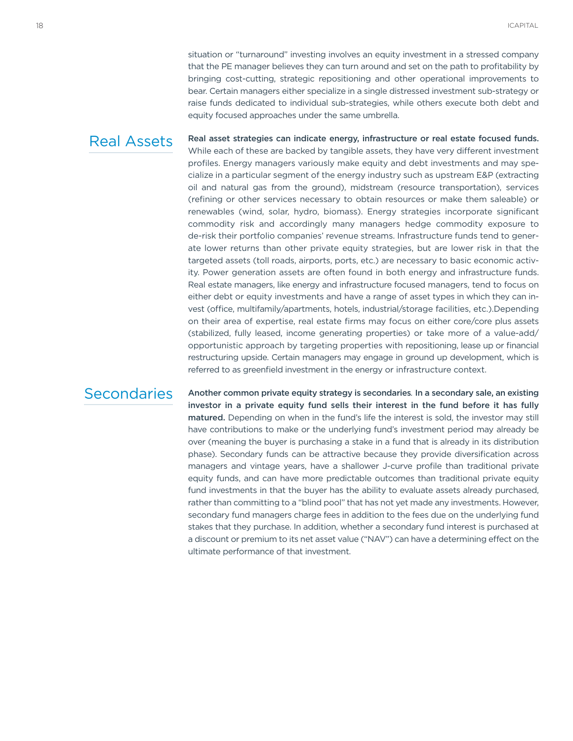situation or "turnaround" investing involves an equity investment in a stressed company that the PE manager believes they can turn around and set on the path to profitability by bringing cost-cutting, strategic repositioning and other operational improvements to bear. Certain managers either specialize in a single distressed investment sub-strategy or raise funds dedicated to individual sub-strategies, while others execute both debt and equity focused approaches under the same umbrella.

Real Assets Real asset strategies can indicate energy, infrastructure or real estate focused funds. While each of these are backed by tangible assets, they have very different investment profiles. Energy managers variously make equity and debt investments and may specialize in a particular segment of the energy industry such as upstream E&P (extracting oil and natural gas from the ground), midstream (resource transportation), services (refining or other services necessary to obtain resources or make them saleable) or renewables (wind, solar, hydro, biomass). Energy strategies incorporate significant commodity risk and accordingly many managers hedge commodity exposure to de-risk their portfolio companies' revenue streams. Infrastructure funds tend to generate lower returns than other private equity strategies, but are lower risk in that the targeted assets (toll roads, airports, ports, etc.) are necessary to basic economic activity. Power generation assets are often found in both energy and infrastructure funds. Real estate managers, like energy and infrastructure focused managers, tend to focus on either debt or equity investments and have a range of asset types in which they can invest (office, multifamily/apartments, hotels, industrial/storage facilities, etc.).Depending on their area of expertise, real estate firms may focus on either core/core plus assets (stabilized, fully leased, income generating properties) or take more of a value-add/ opportunistic approach by targeting properties with repositioning, lease up or financial restructuring upside. Certain managers may engage in ground up development, which is referred to as greenfield investment in the energy or infrastructure context.

#### **Secondaries**

Another common private equity strategy is secondaries*.* In a secondary sale, an existing investor in a private equity fund sells their interest in the fund before it has fully matured. Depending on when in the fund's life the interest is sold, the investor may still have contributions to make or the underlying fund's investment period may already be over (meaning the buyer is purchasing a stake in a fund that is already in its distribution phase). Secondary funds can be attractive because they provide diversification across managers and vintage years, have a shallower J-curve profile than traditional private equity funds, and can have more predictable outcomes than traditional private equity fund investments in that the buyer has the ability to evaluate assets already purchased, rather than committing to a "blind pool" that has not yet made any investments. However, secondary fund managers charge fees in addition to the fees due on the underlying fund stakes that they purchase. In addition, whether a secondary fund interest is purchased at a discount or premium to its net asset value ("NAV") can have a determining effect on the ultimate performance of that investment.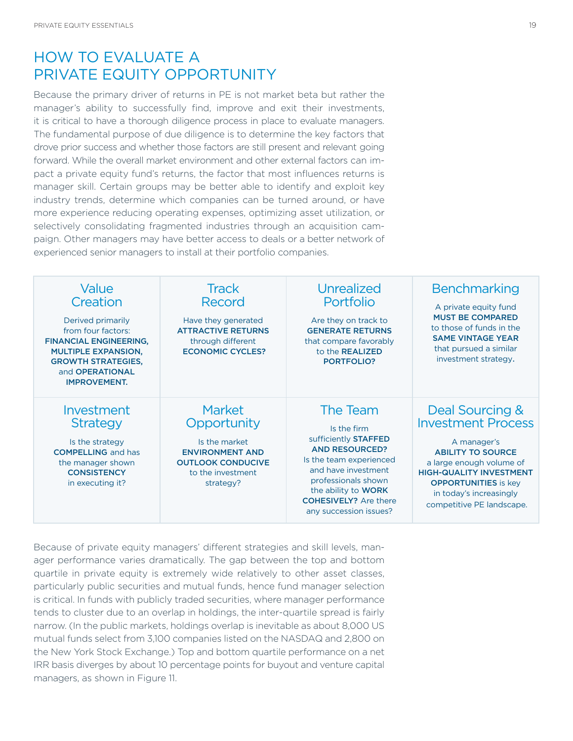#### HOW TO EVALUATE A PRIVATE EQUITY OPPORTUNITY

Because the primary driver of returns in PE is not market beta but rather the manager's ability to successfully find, improve and exit their investments, it is critical to have a thorough diligence process in place to evaluate managers. The fundamental purpose of due diligence is to determine the key factors that drove prior success and whether those factors are still present and relevant going forward. While the overall market environment and other external factors can impact a private equity fund's returns, the factor that most influences returns is manager skill. Certain groups may be better able to identify and exploit key industry trends, determine which companies can be turned around, or have more experience reducing operating expenses, optimizing asset utilization, or selectively consolidating fragmented industries through an acquisition campaign. Other managers may have better access to deals or a better network of experienced senior managers to install at their portfolio companies.

| Value<br>Creation<br>Derived primarily<br>from four factors:<br><b>FINANCIAL ENGINEERING,</b><br><b>MULTIPLE EXPANSION,</b><br><b>GROWTH STRATEGIES,</b><br>and OPERATIONAL<br><b>IMPROVEMENT.</b> | <b>Track</b><br><b>Record</b><br>Have they generated<br><b>ATTRACTIVE RETURNS</b><br>through different<br><b>ECONOMIC CYCLES?</b>     | <b>Unrealized</b><br>Portfolio<br>Are they on track to<br><b>GENERATE RETURNS</b><br>that compare favorably<br>to the REALIZED<br><b>PORTFOLIO?</b>                                                                                       | <b>Benchmarking</b><br>A private equity fund<br><b>MUST BE COMPARED</b><br>to those of funds in the<br><b>SAME VINTAGE YEAR</b><br>that pursued a similar<br>investment strategy.                                                            |
|----------------------------------------------------------------------------------------------------------------------------------------------------------------------------------------------------|---------------------------------------------------------------------------------------------------------------------------------------|-------------------------------------------------------------------------------------------------------------------------------------------------------------------------------------------------------------------------------------------|----------------------------------------------------------------------------------------------------------------------------------------------------------------------------------------------------------------------------------------------|
| Investment<br><b>Strategy</b><br>Is the strategy<br><b>COMPELLING</b> and has<br>the manager shown<br><b>CONSISTENCY</b><br>in executing it?                                                       | <b>Market</b><br>Opportunity<br>Is the market<br><b>ENVIRONMENT AND</b><br><b>OUTLOOK CONDUCIVE</b><br>to the investment<br>strategy? | The Team<br>Is the firm<br>sufficiently STAFFED<br><b>AND RESOURCED?</b><br>Is the team experienced<br>and have investment<br>professionals shown<br>the ability to <b>WORK</b><br><b>COHESIVELY?</b> Are there<br>any succession issues? | Deal Sourcing &<br><b>Investment Process</b><br>A manager's<br><b>ABILITY TO SOURCE</b><br>a large enough volume of<br><b>HIGH-QUALITY INVESTMENT</b><br><b>OPPORTUNITIES</b> is key<br>in today's increasingly<br>competitive PE landscape. |

Because of private equity managers' different strategies and skill levels, manager performance varies dramatically. The gap between the top and bottom quartile in private equity is extremely wide relatively to other asset classes, particularly public securities and mutual funds, hence fund manager selection is critical. In funds with publicly traded securities, where manager performance tends to cluster due to an overlap in holdings, the inter-quartile spread is fairly narrow. (In the public markets, holdings overlap is inevitable as about 8,000 US mutual funds select from 3,100 companies listed on the NASDAQ and 2,800 on the New York Stock Exchange.) Top and bottom quartile performance on a net IRR basis diverges by about 10 percentage points for buyout and venture capital managers, as shown in Figure 11.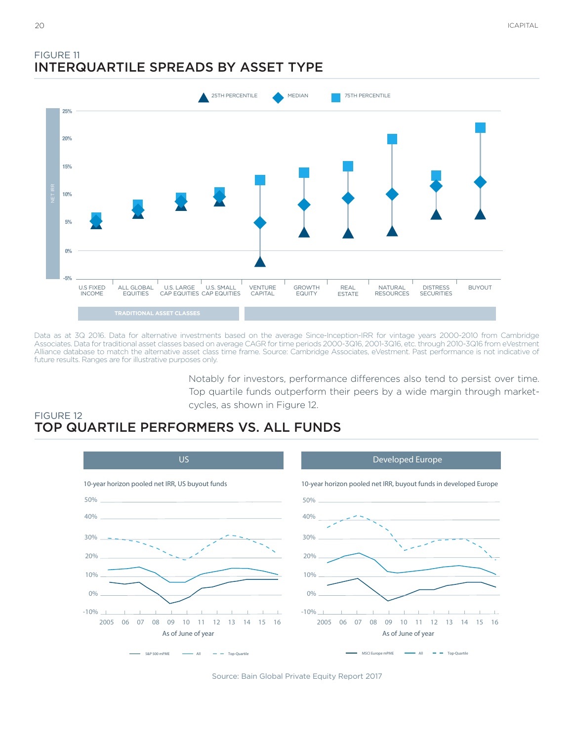#### FIGURE 11 INTERQUARTILE SPREADS BY ASSET TYPE



Data as at 3Q 2016. Data for alternative investments based on the average Since-Inception-IRR for vintage years 2000-2010 from Cambridge Associates. Data for traditional asset classes based on average CAGR for time periods 2000-3Q16, 2001-3Q16, etc. through 2010-3Q16 from eVestment Alliance database to match the alternative asset class time frame. Source: Cambridge Associates, eVestment. Past performance is not indicative of future results. Ranges are for illustrative purposes only.

> Notably for investors, performance differences also tend to persist over time. Top quartile funds outperform their peers by a wide margin through marketcycles, as shown in Figure 12.

#### FIGURE 12 TOP QUARTILE PERFORMERS VS. ALL FUNDS



Source: Bain Global Private Equity Report 2017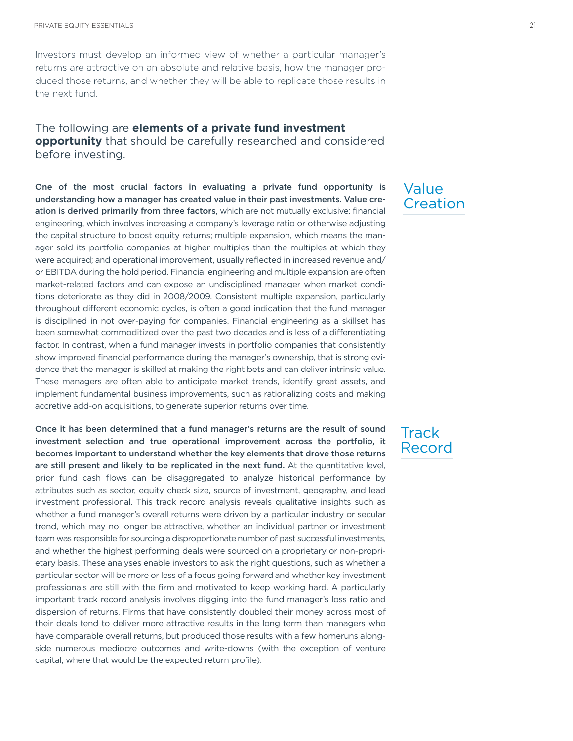Investors must develop an informed view of whether a particular manager's returns are attractive on an absolute and relative basis, how the manager produced those returns, and whether they will be able to replicate those results in the next fund.

#### The following are **elements of a private fund investment opportunity** that should be carefully researched and considered before investing.

One of the most crucial factors in evaluating a private fund opportunity is understanding how a manager has created value in their past investments. Value creation is derived primarily from three factors, which are not mutually exclusive: financial engineering, which involves increasing a company's leverage ratio or otherwise adjusting the capital structure to boost equity returns; multiple expansion, which means the manager sold its portfolio companies at higher multiples than the multiples at which they were acquired; and operational improvement, usually reflected in increased revenue and/ or EBITDA during the hold period. Financial engineering and multiple expansion are often market-related factors and can expose an undisciplined manager when market conditions deteriorate as they did in 2008/2009. Consistent multiple expansion, particularly throughout different economic cycles, is often a good indication that the fund manager is disciplined in not over-paying for companies. Financial engineering as a skillset has been somewhat commoditized over the past two decades and is less of a differentiating factor. In contrast, when a fund manager invests in portfolio companies that consistently show improved financial performance during the manager's ownership, that is strong evidence that the manager is skilled at making the right bets and can deliver intrinsic value. These managers are often able to anticipate market trends, identify great assets, and implement fundamental business improvements, such as rationalizing costs and making accretive add-on acquisitions, to generate superior returns over time.

Once it has been determined that a fund manager's returns are the result of sound investment selection and true operational improvement across the portfolio, it becomes important to understand whether the key elements that drove those returns are still present and likely to be replicated in the next fund. At the quantitative level, prior fund cash flows can be disaggregated to analyze historical performance by attributes such as sector, equity check size, source of investment, geography, and lead investment professional. This track record analysis reveals qualitative insights such as whether a fund manager's overall returns were driven by a particular industry or secular trend, which may no longer be attractive, whether an individual partner or investment team was responsible for sourcing a disproportionate number of past successful investments, and whether the highest performing deals were sourced on a proprietary or non-proprietary basis. These analyses enable investors to ask the right questions, such as whether a particular sector will be more or less of a focus going forward and whether key investment professionals are still with the firm and motivated to keep working hard. A particularly important track record analysis involves digging into the fund manager's loss ratio and dispersion of returns. Firms that have consistently doubled their money across most of their deals tend to deliver more attractive results in the long term than managers who have comparable overall returns, but produced those results with a few homeruns alongside numerous mediocre outcomes and write-downs (with the exception of venture capital, where that would be the expected return profile).

#### Value Creation

#### **Track** Record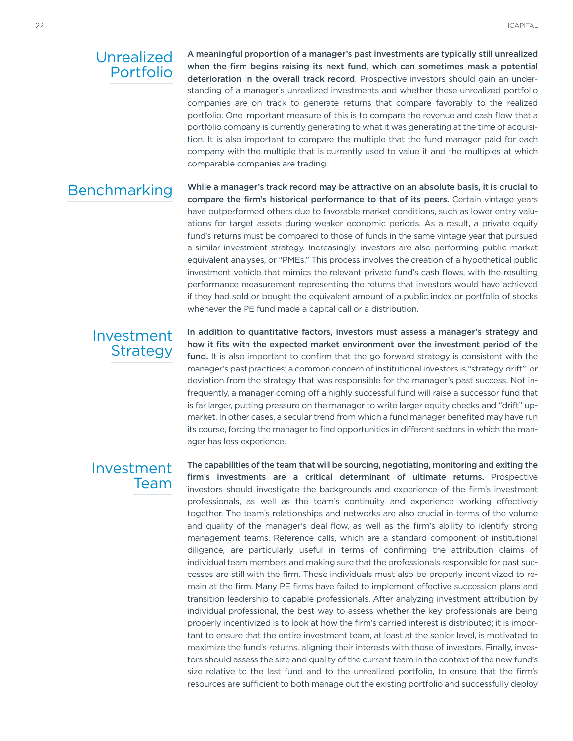#### Unrealized Portfolio

A meaningful proportion of a manager's past investments are typically still unrealized when the firm begins raising its next fund, which can sometimes mask a potential deterioration in the overall track record. Prospective investors should gain an understanding of a manager's unrealized investments and whether these unrealized portfolio companies are on track to generate returns that compare favorably to the realized portfolio. One important measure of this is to compare the revenue and cash flow that a portfolio company is currently generating to what it was generating at the time of acquisition. It is also important to compare the multiple that the fund manager paid for each company with the multiple that is currently used to value it and the multiples at which comparable companies are trading.

#### Benchmarking

While a manager's track record may be attractive on an absolute basis, it is crucial to compare the firm's historical performance to that of its peers. Certain vintage years have outperformed others due to favorable market conditions, such as lower entry valuations for target assets during weaker economic periods. As a result, a private equity fund's returns must be compared to those of funds in the same vintage year that pursued a similar investment strategy. Increasingly, investors are also performing public market equivalent analyses, or "PMEs." This process involves the creation of a hypothetical public investment vehicle that mimics the relevant private fund's cash flows, with the resulting performance measurement representing the returns that investors would have achieved if they had sold or bought the equivalent amount of a public index or portfolio of stocks whenever the PE fund made a capital call or a distribution.

#### Investment **Strategy**

In addition to quantitative factors, investors must assess a manager's strategy and how it fits with the expected market environment over the investment period of the fund. It is also important to confirm that the go forward strategy is consistent with the manager's past practices; a common concern of institutional investors is "strategy drift", or deviation from the strategy that was responsible for the manager's past success. Not infrequently, a manager coming off a highly successful fund will raise a successor fund that is far larger, putting pressure on the manager to write larger equity checks and "drift" upmarket. In other cases, a secular trend from which a fund manager benefited may have run its course, forcing the manager to find opportunities in different sectors in which the manager has less experience.

#### Investment Team

The capabilities of the team that will be sourcing, negotiating, monitoring and exiting the firm's investments are a critical determinant of ultimate returns. Prospective investors should investigate the backgrounds and experience of the firm's investment professionals, as well as the team's continuity and experience working effectively together. The team's relationships and networks are also crucial in terms of the volume and quality of the manager's deal flow, as well as the firm's ability to identify strong management teams. Reference calls, which are a standard component of institutional diligence, are particularly useful in terms of confirming the attribution claims of individual team members and making sure that the professionals responsible for past successes are still with the firm. Those individuals must also be properly incentivized to remain at the firm. Many PE firms have failed to implement effective succession plans and transition leadership to capable professionals. After analyzing investment attribution by individual professional, the best way to assess whether the key professionals are being properly incentivized is to look at how the firm's carried interest is distributed; it is important to ensure that the entire investment team, at least at the senior level, is motivated to maximize the fund's returns, aligning their interests with those of investors. Finally, investors should assess the size and quality of the current team in the context of the new fund's size relative to the last fund and to the unrealized portfolio, to ensure that the firm's resources are sufficient to both manage out the existing portfolio and successfully deploy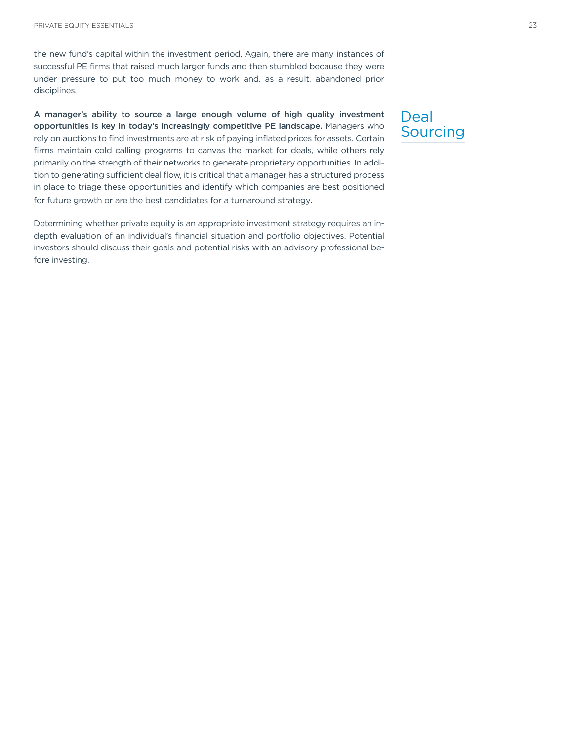the new fund's capital within the investment period. Again, there are many instances of successful PE firms that raised much larger funds and then stumbled because they were under pressure to put too much money to work and, as a result, abandoned prior disciplines.

A manager's ability to source a large enough volume of high quality investment opportunities is key in today's increasingly competitive PE landscape. Managers who rely on auctions to find investments are at risk of paying inflated prices for assets. Certain firms maintain cold calling programs to canvas the market for deals, while others rely primarily on the strength of their networks to generate proprietary opportunities. In addition to generating sufficient deal flow, it is critical that a manager has a structured process in place to triage these opportunities and identify which companies are best positioned for future growth or are the best candidates for a turnaround strategy.

Determining whether private equity is an appropriate investment strategy requires an indepth evaluation of an individual's financial situation and portfolio objectives. Potential investors should discuss their goals and potential risks with an advisory professional before investing.

#### Deal Sourcing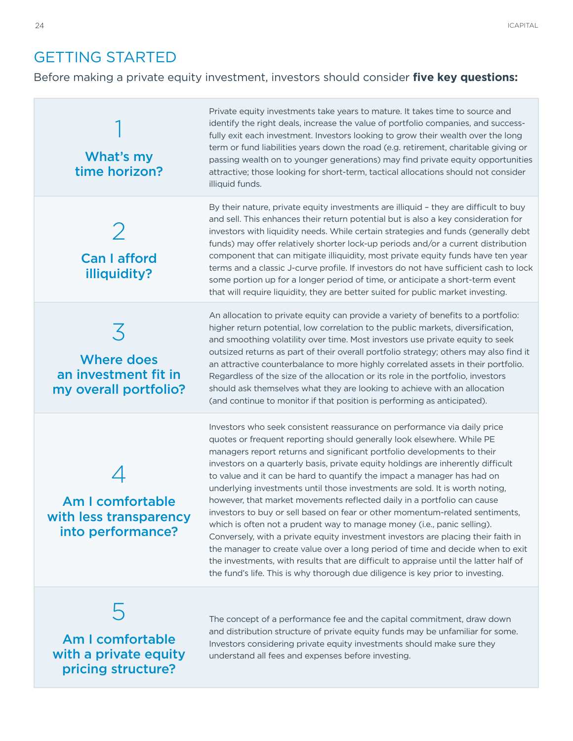#### GETTING STARTED

Before making a private equity investment, investors should consider **five key questions:**

| What's my<br>time horizon?                                                              | Private equity investments take years to mature. It takes time to source and<br>identify the right deals, increase the value of portfolio companies, and success-<br>fully exit each investment. Investors looking to grow their wealth over the long<br>term or fund liabilities years down the road (e.g. retirement, charitable giving or<br>passing wealth on to younger generations) may find private equity opportunities<br>attractive; those looking for short-term, tactical allocations should not consider<br>illiquid funds.                                                                                                                                                                                                                                                                                                                                                                                                                                                                                                                             |
|-----------------------------------------------------------------------------------------|----------------------------------------------------------------------------------------------------------------------------------------------------------------------------------------------------------------------------------------------------------------------------------------------------------------------------------------------------------------------------------------------------------------------------------------------------------------------------------------------------------------------------------------------------------------------------------------------------------------------------------------------------------------------------------------------------------------------------------------------------------------------------------------------------------------------------------------------------------------------------------------------------------------------------------------------------------------------------------------------------------------------------------------------------------------------|
| <b>Can I afford</b><br>illiquidity?                                                     | By their nature, private equity investments are illiquid - they are difficult to buy<br>and sell. This enhances their return potential but is also a key consideration for<br>investors with liquidity needs. While certain strategies and funds (generally debt<br>funds) may offer relatively shorter lock-up periods and/or a current distribution<br>component that can mitigate illiquidity, most private equity funds have ten year<br>terms and a classic J-curve profile. If investors do not have sufficient cash to lock<br>some portion up for a longer period of time, or anticipate a short-term event<br>that will require liquidity, they are better suited for public market investing.                                                                                                                                                                                                                                                                                                                                                              |
| $\mathcal{S}_{1}$<br><b>Where does</b><br>an investment fit in<br>my overall portfolio? | An allocation to private equity can provide a variety of benefits to a portfolio:<br>higher return potential, low correlation to the public markets, diversification,<br>and smoothing volatility over time. Most investors use private equity to seek<br>outsized returns as part of their overall portfolio strategy; others may also find it<br>an attractive counterbalance to more highly correlated assets in their portfolio.<br>Regardless of the size of the allocation or its role in the portfolio, investors<br>should ask themselves what they are looking to achieve with an allocation<br>(and continue to monitor if that position is performing as anticipated).                                                                                                                                                                                                                                                                                                                                                                                    |
| Am I comfortable<br>with less transparency<br>into performance?                         | Investors who seek consistent reassurance on performance via daily price<br>quotes or frequent reporting should generally look elsewhere. While PE<br>managers report returns and significant portfolio developments to their<br>investors on a quarterly basis, private equity holdings are inherently difficult<br>to value and it can be hard to quantify the impact a manager has had on<br>underlying investments until those investments are sold. It is worth noting,<br>however, that market movements reflected daily in a portfolio can cause<br>investors to buy or sell based on fear or other momentum-related sentiments,<br>which is often not a prudent way to manage money (i.e., panic selling).<br>Conversely, with a private equity investment investors are placing their faith in<br>the manager to create value over a long period of time and decide when to exit<br>the investments, with results that are difficult to appraise until the latter half of<br>the fund's life. This is why thorough due diligence is key prior to investing. |
|                                                                                         | The concept of a performance fee and the capital commitment, draw down                                                                                                                                                                                                                                                                                                                                                                                                                                                                                                                                                                                                                                                                                                                                                                                                                                                                                                                                                                                               |

Am I comfortable with a private equity pricing structure?

The concept of a performance fee and the capital commitment, draw down and distribution structure of private equity funds may be unfamiliar for some. Investors considering private equity investments should make sure they understand all fees and expenses before investing.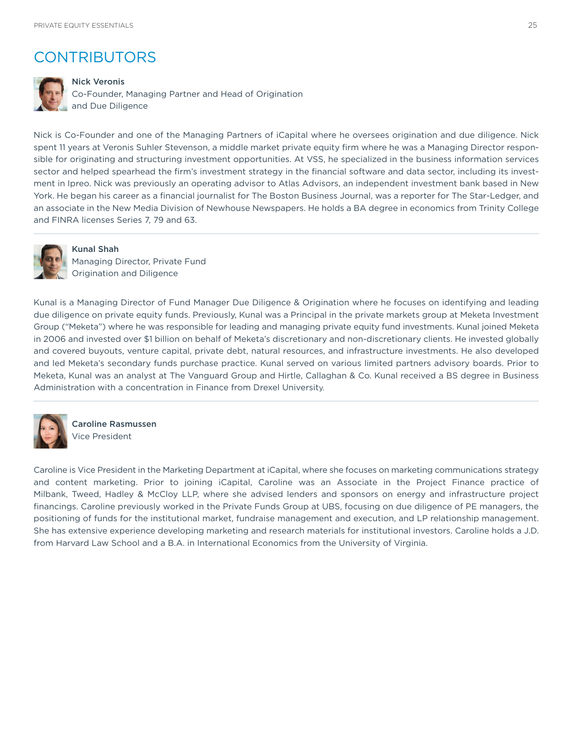#### **CONTRIBUTORS**



#### Nick Veronis

Co-Founder, Managing Partner and Head of Origination and Due Diligence

Nick is Co-Founder and one of the Managing Partners of iCapital where he oversees origination and due diligence. Nick spent 11 years at Veronis Suhler Stevenson, a middle market private equity firm where he was a Managing Director responsible for originating and structuring investment opportunities. At VSS, he specialized in the business information services sector and helped spearhead the firm's investment strategy in the financial software and data sector, including its investment in Ipreo. Nick was previously an operating advisor to Atlas Advisors, an independent investment bank based in New York. He began his career as a financial journalist for The Boston Business Journal, was a reporter for The Star-Ledger, and an associate in the New Media Division of Newhouse Newspapers. He holds a BA degree in economics from Trinity College and FINRA licenses Series 7, 79 and 63.



Kunal Shah

Managing Director, Private Fund Origination and Diligence

Kunal is a Managing Director of Fund Manager Due Diligence & Origination where he focuses on identifying and leading due diligence on private equity funds. Previously, Kunal was a Principal in the private markets group at Meketa Investment Group ("Meketa") where he was responsible for leading and managing private equity fund investments. Kunal joined Meketa in 2006 and invested over \$1 billion on behalf of Meketa's discretionary and non-discretionary clients. He invested globally and covered buyouts, venture capital, private debt, natural resources, and infrastructure investments. He also developed and led Meketa's secondary funds purchase practice. Kunal served on various limited partners advisory boards. Prior to Meketa, Kunal was an analyst at The Vanguard Group and Hirtle, Callaghan & Co. Kunal received a BS degree in Business Administration with a concentration in Finance from Drexel University.



Caroline Rasmussen Vice President

Caroline is Vice President in the Marketing Department at iCapital, where she focuses on marketing communications strategy and content marketing. Prior to joining iCapital, Caroline was an Associate in the Project Finance practice of Milbank, Tweed, Hadley & McCloy LLP, where she advised lenders and sponsors on energy and infrastructure project financings. Caroline previously worked in the Private Funds Group at UBS, focusing on due diligence of PE managers, the positioning of funds for the institutional market, fundraise management and execution, and LP relationship management. She has extensive experience developing marketing and research materials for institutional investors. Caroline holds a J.D. from Harvard Law School and a B.A. in International Economics from the University of Virginia.